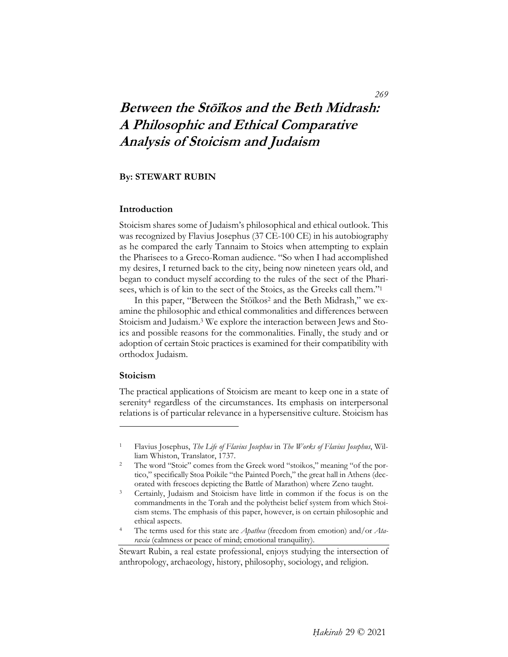# **Between the Stōïkos and the Beth Midrash: A Philosophic and Ethical Comparative Analysis of Stoicism and Judaism**

# **By: STEWART RUBIN**

#### **Introduction**

Stoicism shares some of Judaism's philosophical and ethical outlook. This was recognized by Flavius Josephus (37 CE-100 CE) in his autobiography as he compared the early Tannaim to Stoics when attempting to explain the Pharisees to a Greco-Roman audience. "So when I had accomplished my desires, I returned back to the city, being now nineteen years old, and began to conduct myself according to the rules of the sect of the Pharisees, which is of kin to the sect of the Stoics, as the Greeks call them."1

In this paper, "Between the Stōïkos<sup>2</sup> and the Beth Midrash," we examine the philosophic and ethical commonalities and differences between Stoicism and Judaism.3 We explore the interaction between Jews and Stoics and possible reasons for the commonalities. Finally, the study and or adoption of certain Stoic practices is examined for their compatibility with orthodox Judaism.

# **Stoicism**

 $\overline{a}$ 

The practical applications of Stoicism are meant to keep one in a state of serenity4 regardless of the circumstances. Its emphasis on interpersonal relations is of particular relevance in a hypersensitive culture. Stoicism has

*raxia* (calmness or peace of mind; emotional tranquility).

## *269*

<sup>1</sup> Flavius Josephus, *The Life of Flavius Josephus* in *The Works of Flavius Josephus*, William Whiston, Translator, 1737. 2 The word "Stoic" comes from the Greek word "stoikos," meaning "of the por-

tico," specifically Stoa Poikile "the Painted Porch," the great hall in Athens (decorated with frescoes depicting the Battle of Marathon) where Zeno taught.<br><sup>3</sup> Certainly, Judaism and Stoicism have little in common if the focus is on the

commandments in the Torah and the polytheist belief system from which Stoicism stems. The emphasis of this paper, however, is on certain philosophic and ethical aspects.<br>The terms used for this state are *Apathea* (freedom from emotion) and/or *Ata-*

Stewart Rubin, a real estate professional, enjoys studying the intersection of anthropology, archaeology, history, philosophy, sociology, and religion.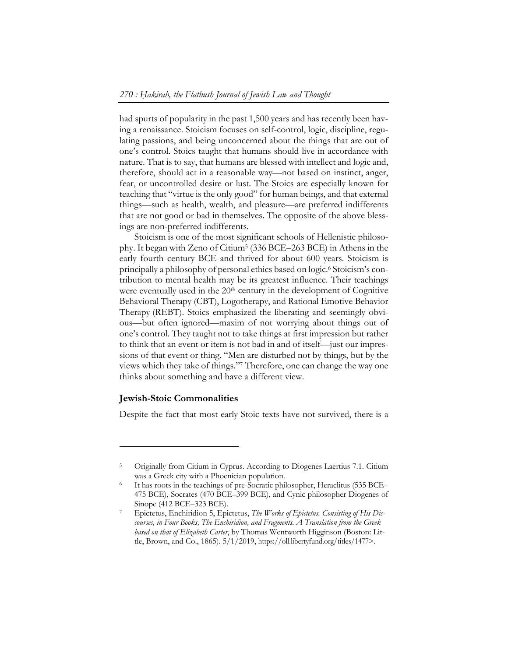had spurts of popularity in the past 1,500 years and has recently been having a renaissance. Stoicism focuses on self-control, logic, discipline, regulating passions, and being unconcerned about the things that are out of one's control. Stoics taught that humans should live in accordance with nature. That is to say, that humans are blessed with intellect and logic and, therefore, should act in a reasonable way—not based on instinct, anger, fear, or uncontrolled desire or lust. The Stoics are especially known for teaching that "virtue is the only good" for human beings, and that external things—such as health, wealth, and pleasure—are preferred indifferents that are not good or bad in themselves. The opposite of the above blessings are non-preferred indifferents.

Stoicism is one of the most significant schools of Hellenistic philosophy. It began with Zeno of Citium5 (336 BCE–263 BCE) in Athens in the early fourth century BCE and thrived for about 600 years. Stoicism is principally a philosophy of personal ethics based on logic.6 Stoicism's contribution to mental health may be its greatest influence. Their teachings were eventually used in the 20<sup>th</sup> century in the development of Cognitive Behavioral Therapy (CBT), Logotherapy, and Rational Emotive Behavior Therapy (REBT). Stoics emphasized the liberating and seemingly obvious—but often ignored—maxim of not worrying about things out of one's control. They taught not to take things at first impression but rather to think that an event or item is not bad in and of itself—just our impressions of that event or thing. "Men are disturbed not by things, but by the views which they take of things."7 Therefore, one can change the way one thinks about something and have a different view.

#### **Jewish-Stoic Commonalities**

 $\overline{a}$ 

Despite the fact that most early Stoic texts have not survived, there is a

<sup>&</sup>lt;sup>5</sup> Originally from Citium in Cyprus. According to Diogenes Laertius 7.1. Citium was a Greek city with a Phoenician population.<br>It has roots in the teachings of pre-Socratic philosopher, Heraclitus (535 BCE–

<sup>475</sup> BCE), Socrates (470 BCE–399 BCE), and Cynic philosopher Diogenes of Sinope (412 BCE–323 BCE).<br>Epictetus, Enchiridion 5, Epictetus, *The Works of Epictetus. Consisting of His Dis-*

*courses, in Four Books, The Enchiridion, and Fragments. A Translation from the Greek based on that of Elizabeth Carter*, by Thomas Wentworth Higginson (Boston: Little, Brown, and Co., 1865). 5/1/2019, https://oll.libertyfund.org/titles/1477>.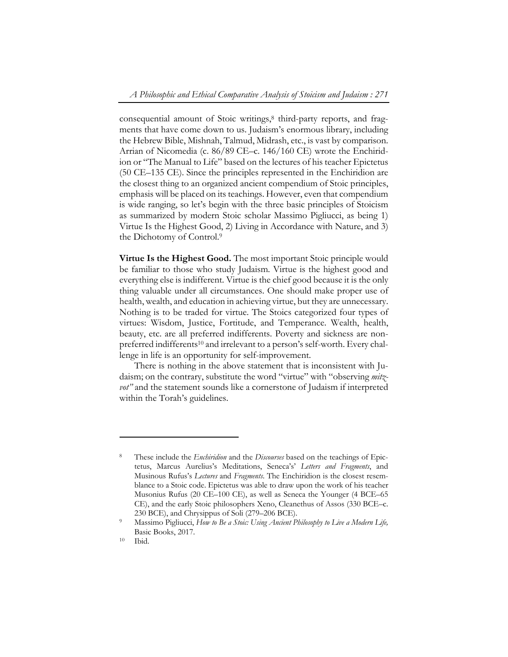consequential amount of Stoic writings,<sup>8</sup> third-party reports, and fragments that have come down to us. Judaism's enormous library, including the Hebrew Bible, Mishnah, Talmud, Midrash, etc., is vast by comparison. Arrian of Nicomedia (c. 86/89 CE–c. 146/160 CE) wrote the Enchiridion or "The Manual to Life" based on the lectures of his teacher Epictetus (50 CE–135 CE). Since the principles represented in the Enchiridion are the closest thing to an organized ancient compendium of Stoic principles, emphasis will be placed on its teachings. However, even that compendium is wide ranging, so let's begin with the three basic principles of Stoicism as summarized by modern Stoic scholar Massimo Pigliucci, as being 1) Virtue Is the Highest Good, 2) Living in Accordance with Nature, and 3) the Dichotomy of Control.9

**Virtue Is the Highest Good.** The most important Stoic principle would be familiar to those who study Judaism. Virtue is the highest good and everything else is indifferent. Virtue is the chief good because it is the only thing valuable under all circumstances. One should make proper use of health, wealth, and education in achieving virtue, but they are unnecessary. Nothing is to be traded for virtue. The Stoics categorized four types of virtues: Wisdom, Justice, Fortitude, and Temperance. Wealth, health, beauty, etc. are all preferred indifferents. Poverty and sickness are nonpreferred indifferents<sup>10</sup> and irrelevant to a person's self-worth. Every challenge in life is an opportunity for self-improvement.

There is nothing in the above statement that is inconsistent with Judaism; on the contrary, substitute the word "virtue" with "observing *mitzvot"* and the statement sounds like a cornerstone of Judaism if interpreted within the Torah's guidelines.

<sup>8</sup> These include the *Enchiridion* and the *Discourses* based on the teachings of Epictetus, Marcus Aurelius's Meditations, Seneca's' *Letters and Fragments*, and Musinous Rufus's *Lectures* and *Fragments*. The Enchiridion is the closest resemblance to a Stoic code. Epictetus was able to draw upon the work of his teacher Musonius Rufus (20 CE–100 CE), as well as Seneca the Younger (4 BCE–65 CE), and the early Stoic philosophers Xeno, Cleanethus of Assos (330 BCE–c.

<sup>230</sup> BCE), and Chrysippus of Soli (279–206 BCE). 9 Massimo Pigliucci, *How to Be a Stoic: Using Ancient Philosophy to Live a Modern Life,* Basic Books, 2017.<br><sup>10</sup> Ibid.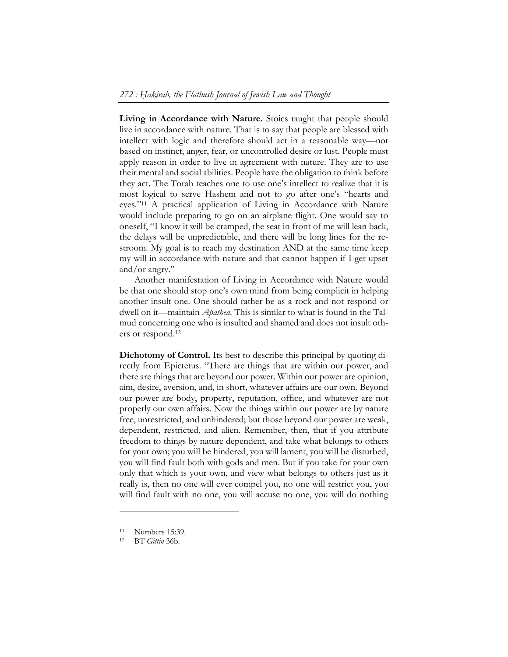Living in Accordance with Nature. Stoics taught that people should live in accordance with nature. That is to say that people are blessed with intellect with logic and therefore should act in a reasonable way—not based on instinct, anger, fear, or uncontrolled desire or lust. People must apply reason in order to live in agreement with nature. They are to use their mental and social abilities. People have the obligation to think before they act. The Torah teaches one to use one's intellect to realize that it is most logical to serve Hashem and not to go after one's "hearts and eyes."11 A practical application of Living in Accordance with Nature would include preparing to go on an airplane flight. One would say to oneself, "I know it will be cramped, the seat in front of me will lean back, the delays will be unpredictable, and there will be long lines for the restroom. My goal is to reach my destination AND at the same time keep my will in accordance with nature and that cannot happen if I get upset and/or angry."

Another manifestation of Living in Accordance with Nature would be that one should stop one's own mind from being complicit in helping another insult one. One should rather be as a rock and not respond or dwell on it—maintain *Apathea*. This is similar to what is found in the Talmud concerning one who is insulted and shamed and does not insult others or respond.12

**Dichotomy of Control.** Its best to describe this principal by quoting directly from Epictetus. "There are things that are within our power, and there are things that are beyond our power. Within our power are opinion, aim, desire, aversion, and, in short, whatever affairs are our own. Beyond our power are body, property, reputation, office, and whatever are not properly our own affairs. Now the things within our power are by nature free, unrestricted, and unhindered; but those beyond our power are weak, dependent, restricted, and alien. Remember, then, that if you attribute freedom to things by nature dependent, and take what belongs to others for your own; you will be hindered, you will lament, you will be disturbed, you will find fault both with gods and men. But if you take for your own only that which is your own, and view what belongs to others just as it really is, then no one will ever compel you, no one will restrict you, you will find fault with no one, you will accuse no one, you will do nothing

<sup>11</sup> Numbers 15:39.

<sup>12</sup> BT *Gittin* 36b.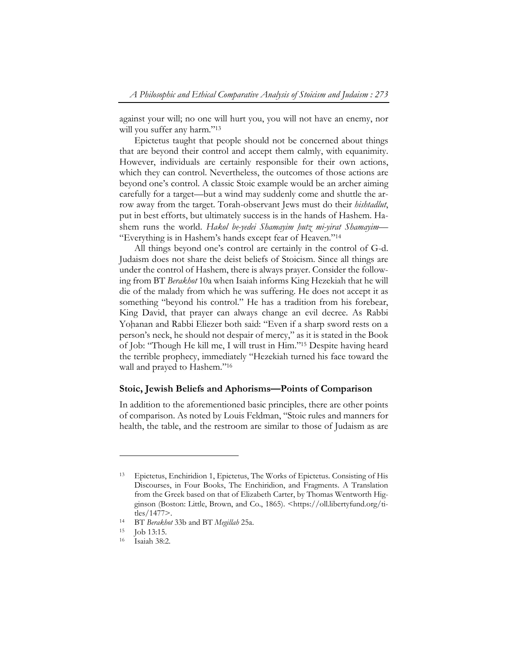against your will; no one will hurt you, you will not have an enemy, nor will you suffer any harm."<sup>13</sup>

Epictetus taught that people should not be concerned about things that are beyond their control and accept them calmly, with equanimity. However, individuals are certainly responsible for their own actions, which they can control. Nevertheless, the outcomes of those actions are beyond one's control. A classic Stoic example would be an archer aiming carefully for a target—but a wind may suddenly come and shuttle the arrow away from the target. Torah-observant Jews must do their *hishtadlut*, put in best efforts, but ultimately success is in the hands of Hashem. Hashem runs the world. *Hakol be-yedei Shamayim ḥutz mi-yirat Shamayim—*  "Everything is in Hashem's hands except fear of Heaven."14

All things beyond one's control are certainly in the control of G-d. Judaism does not share the deist beliefs of Stoicism. Since all things are under the control of Hashem, there is always prayer. Consider the following from BT *Berakhot* 10a when Isaiah informs King Hezekiah that he will die of the malady from which he was suffering. He does not accept it as something "beyond his control." He has a tradition from his forebear, King David, that prayer can always change an evil decree. As Rabbi Yohanan and Rabbi Eliezer both said: "Even if a sharp sword rests on a person's neck, he should not despair of mercy," as it is stated in the Book of Job: "Though He kill me, I will trust in Him."15 Despite having heard the terrible prophecy, immediately "Hezekiah turned his face toward the wall and prayed to Hashem."<sup>16</sup>

#### **Stoic, Jewish Beliefs and Aphorisms—Points of Comparison**

In addition to the aforementioned basic principles, there are other points of comparison. As noted by Louis Feldman, "Stoic rules and manners for health, the table, and the restroom are similar to those of Judaism as are

<sup>13</sup> Epictetus, Enchiridion 1, Epictetus, The Works of Epictetus. Consisting of His Discourses, in Four Books, The Enchiridion, and Fragments. A Translation from the Greek based on that of Elizabeth Carter, by Thomas Wentworth Higginson (Boston: Little, Brown, and Co., 1865). <https://oll.libertyfund.org/titles/1477>. 14 BT *Berakhot* 33b and BT *Megillah* 25a. 15 Job 13:15.

<sup>16</sup> Isaiah 38:2.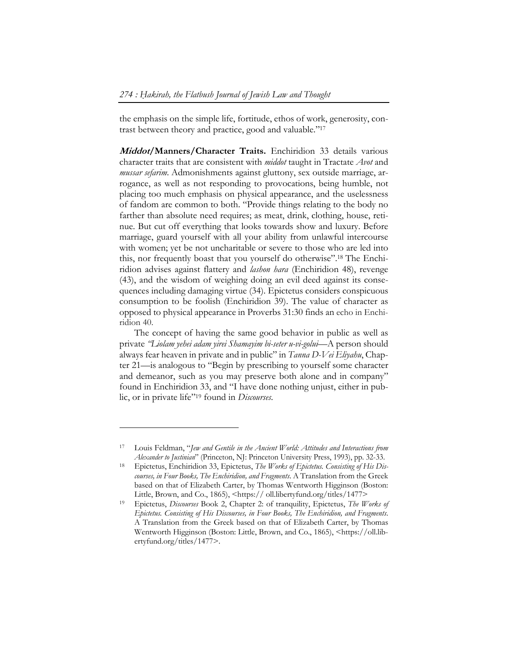the emphasis on the simple life, fortitude, ethos of work, generosity, contrast between theory and practice, good and valuable."17

**Middot/Manners/Character Traits.** Enchiridion 33 details various character traits that are consistent with *middot* taught in Tractate *Avot* and *mussar sefarim*. Admonishments against gluttony, sex outside marriage, arrogance, as well as not responding to provocations, being humble, not placing too much emphasis on physical appearance, and the uselessness of fandom are common to both. "Provide things relating to the body no farther than absolute need requires; as meat, drink, clothing, house, retinue. But cut off everything that looks towards show and luxury. Before marriage, guard yourself with all your ability from unlawful intercourse with women; yet be not uncharitable or severe to those who are led into this, nor frequently boast that you yourself do otherwise".18 The Enchiridion advises against flattery and *lashon hara* (Enchiridion 48), revenge (43), and the wisdom of weighing doing an evil deed against its consequences including damaging virtue (34). Epictetus considers conspicuous consumption to be foolish (Enchiridion 39). The value of character as opposed to physical appearance in Proverbs 31:30 finds an echo in Enchiridion 40.

The concept of having the same good behavior in public as well as private *"Liolam yehei adam yirei Shamayim bi-seter u-vi-golui—*A person should always fear heaven in private and in public" in *Tanna D-Vei Eliyahu*, Chapter 21*—*is analogous to "Begin by prescribing to yourself some character and demeanor, such as you may preserve both alone and in company" found in Enchiridion 33, and "I have done nothing unjust, either in public, or in private life"19 found in *Discourses*.

<sup>17</sup> Louis Feldman, "*Jew and Gentile in the Ancient World: Attitudes and Interactions from Alexander to Justinian*" (Princeton, NJ: Princeton University Press, 1993), pp. 32-33.

<sup>18</sup> Epictetus, Enchiridion 33, Epictetus, *The Works of Epictetus. Consisting of His Discourses, in Four Books, The Enchiridion, and Fragments*. A Translation from the Greek based on that of Elizabeth Carter, by Thomas Wentworth Higginson (Boston: Little, Brown, and Co., 1865), <https:// oll.libertyfund.org/titles/1477> 19 Epictetus, *Discourses* Book 2, Chapter 2: of tranquility, Epictetus, *The Works of* 

*Epictetus. Consisting of His Discourses, in Four Books, The Enchiridion, and Fragments*. A Translation from the Greek based on that of Elizabeth Carter, by Thomas Wentworth Higginson (Boston: Little, Brown, and Co., 1865), <https://oll.libertyfund.org/titles/1477>.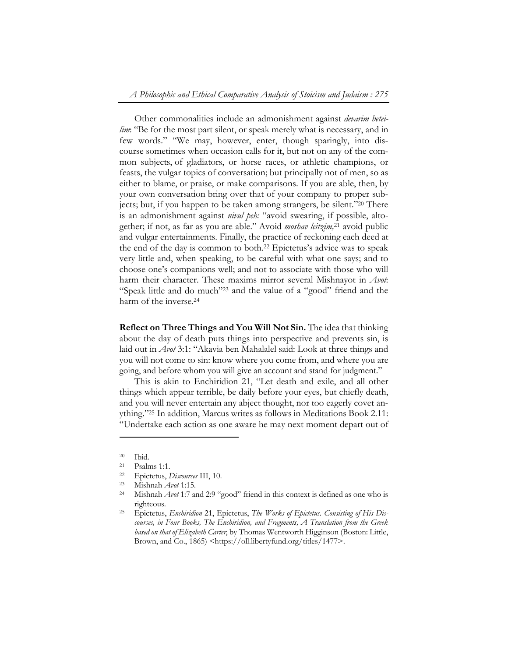Other commonalities include an admonishment against *devarim beteilim*: "Be for the most part silent, or speak merely what is necessary, and in few words." "We may, however, enter, though sparingly, into discourse sometimes when occasion calls for it, but not on any of the common subjects, of gladiators, or horse races, or athletic champions, or feasts, the vulgar topics of conversation; but principally not of men, so as either to blame, or praise, or make comparisons. If you are able, then, by your own conversation bring over that of your company to proper subjects; but, if you happen to be taken among strangers, be silent."20 There is an admonishment against *nivul peh:* "avoid swearing, if possible, altogether; if not, as far as you are able." Avoid *moshav leitzim,*21 avoid public and vulgar entertainments. Finally, the practice of reckoning each deed at the end of the day is common to both.22 Epictetus's advice was to speak very little and, when speaking, to be careful with what one says; and to choose one's companions well; and not to associate with those who will harm their character. These maxims mirror several Mishnayot in *Avot*: "Speak little and do much"23 and the value of a "good" friend and the harm of the inverse.<sup>24</sup>

**Reflect on Three Things and You Will Not Sin.** The idea that thinking about the day of death puts things into perspective and prevents sin, is laid out in *Avot* 3:1: "Akavia ben Mahalalel said: Look at three things and you will not come to sin: know where you come from, and where you are going, and before whom you will give an account and stand for judgment."

This is akin to Enchiridion 21, "Let death and exile, and all other things which appear terrible, be daily before your eyes, but chiefly death, and you will never entertain any abject thought, nor too eagerly covet anything."25 In addition, Marcus writes as follows in Meditations Book 2.11: "Undertake each action as one aware he may next moment depart out of

<sup>20</sup> Ibid.

<sup>21</sup> Psalms 1:1.

<sup>22</sup> Epictetus, *Discourses* III, 10. 23 Mishnah *Avot* 1:15. 24 Mishnah *Avot* 1:7 and 2:9 "good" friend in this context is defined as one who is righteous. 25 Epictetus, *Enchiridion* 21, Epictetus, *The Works of Epictetus. Consisting of His Dis-*

*courses, in Four Books, The Enchiridion, and Fragments, A Translation from the Greek based on that of Elizabeth Carter*, by Thomas Wentworth Higginson (Boston: Little, Brown, and Co., 1865) <https://oll.libertyfund.org/titles/1477>.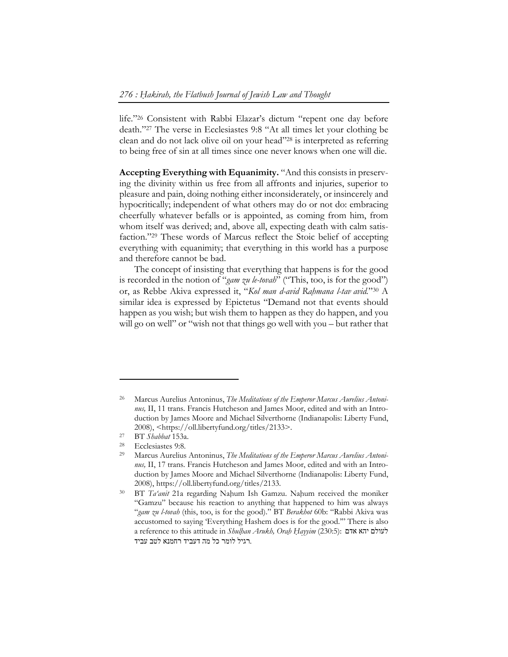life."26 Consistent with Rabbi Elazar's dictum "repent one day before death."27 The verse in Ecclesiastes 9:8 "At all times let your clothing be clean and do not lack olive oil on your head"28 is interpreted as referring to being free of sin at all times since one never knows when one will die.

**Accepting Everything with Equanimity.** "And this consists in preserving the divinity within us free from all affronts and injuries, superior to pleasure and pain, doing nothing either inconsiderately, or insincerely and hypocritically; independent of what others may do or not do: embracing cheerfully whatever befalls or is appointed, as coming from him, from whom itself was derived; and, above all, expecting death with calm satisfaction."29 These words of Marcus reflect the Stoic belief of accepting everything with equanimity; that everything in this world has a purpose and therefore cannot be bad.

The concept of insisting that everything that happens is for the good is recorded in the notion of "*gam zu le-tovah*" ("This, too, is for the good") or, as Rebbe Akiva expressed it, "*Kol man d-avid Raḥmana l-tav avid.*"30 A similar idea is expressed by Epictetus "Demand not that events should happen as you wish; but wish them to happen as they do happen, and you will go on well" or "wish not that things go well with you – but rather that

<sup>26</sup> Marcus Aurelius Antoninus, *The Meditations of the Emperor Marcus Aurelius Antoninus,* II, 11 trans. Francis Hutcheson and James Moor, edited and with an Introduction by James Moore and Michael Silverthorne (Indianapolis: Liberty Fund, 2008), <https://oll.libertyfund.org/titles/2133>.<br>
27 BT *Shabbat* 153a.<br>
28 Ecclesiastes 9:8.<br>
29 Marcus Aurelius Antoninus. The Meditations of the H

Marcus Aurelius Antoninus, *The Meditations of the Emperor Marcus Aurelius Antoninus,* II, 17 trans. Francis Hutcheson and James Moor, edited and with an Introduction by James Moore and Michael Silverthorne (Indianapolis: Liberty Fund, 2008), https://oll.libertyfund.org/titles/2133. 30 BT *Ta'anit* 21a regarding Naḥum Ish Gamzu. Naḥum received the moniker

<sup>&</sup>quot;Gamzu" because his reaction to anything that happened to him was always "*gam zu l-tovah* (this, too, is for the good)." BT *Berakhot* 60b: "Rabbi Akiva was accustomed to saying 'Everything Hashem does is for the good.'" There is also a reference to this attitude in *Shulḥan Arukh, Oraḥ Ḥayyim* (230:5): אדם יהא לעולם .רגיל לומר כל מה דעביד רחמנא לטב עביד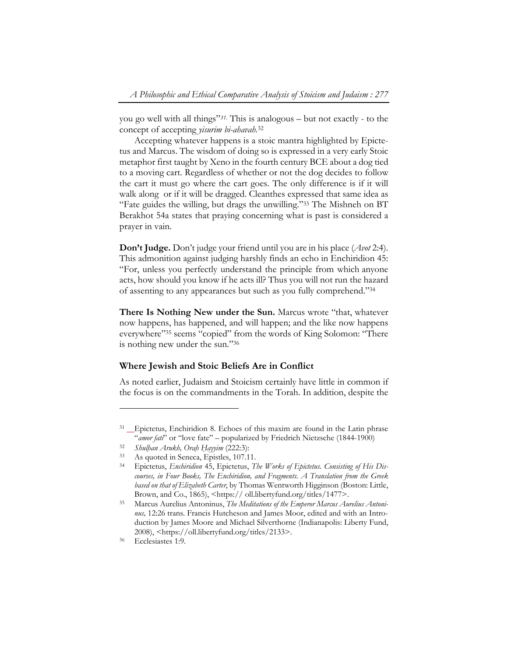you go well with all things"*31*. This is analogous – but not exactly - to the concept of accepting *yisurim bi-ahavah.*<sup>32</sup>

Accepting whatever happens is a stoic mantra highlighted by Epictetus and Marcus. The wisdom of doing so is expressed in a very early Stoic metaphor first taught by Xeno in the fourth century BCE about a dog tied to a moving cart. Regardless of whether or not the dog decides to follow the cart it must go where the cart goes. The only difference is if it will walk along or if it will be dragged. Cleanthes expressed that same idea as "Fate guides the willing, but drags the unwilling."33 The Mishneh on BT Berakhot 54a states that praying concerning what is past is considered a prayer in vain.

**Don't Judge.** Don't judge your friend until you are in his place (*Avot* 2:4). This admonition against judging harshly finds an echo in Enchiridion 45: "For, unless you perfectly understand the principle from which anyone acts, how should you know if he acts ill? Thus you will not run the hazard of assenting to any appearances but such as you fully comprehend."34

**There Is Nothing New under the Sun.** Marcus wrote "that, whatever now happens, has happened, and will happen; and the like now happens everywhere"35 seems "copied" from the words of King Solomon: "There is nothing new under the sun."36

#### **Where Jewish and Stoic Beliefs Are in Conflict**

As noted earlier, Judaism and Stoicism certainly have little in common if the focus is on the commandments in the Torah. In addition, despite the

<sup>&</sup>lt;sup>31</sup> Epictetus, Enchiridion 8. Echoes of this maxim are found in the Latin phrase "*amor fati*" or "love fate" – popularized by Friedrich Nietzsche (1844-1900) 32 *Shulḥan Arukh, Oraḥ Ḥayyim* (222:3): 33 As quoted in Seneca, Epistles, 107.11.

<sup>34</sup> Epictetus, *Enchiridion* 45, Epictetus, *The Works of Epictetus. Consisting of His Discourses, in Four Books, The Enchiridion, and Fragments*. *A Translation from the Greek based on that of Elizabeth Carter*, by Thomas Wentworth Higginson (Boston: Little,

Brown, and Co., 1865), <https:// oll.libertyfund.org/titles/1477>.<br><sup>35</sup> Marcus Aurelius Antoninus, *The Meditations of the Emperor Marcus Aurelius Antoninus,* 12:26 trans. Francis Hutcheson and James Moor, edited and with an Introduction by James Moore and Michael Silverthorne (Indianapolis: Liberty Fund, 2008), <https://oll.libertyfund.org/titles/2133>.<br>
Ecclesiastes 1:9.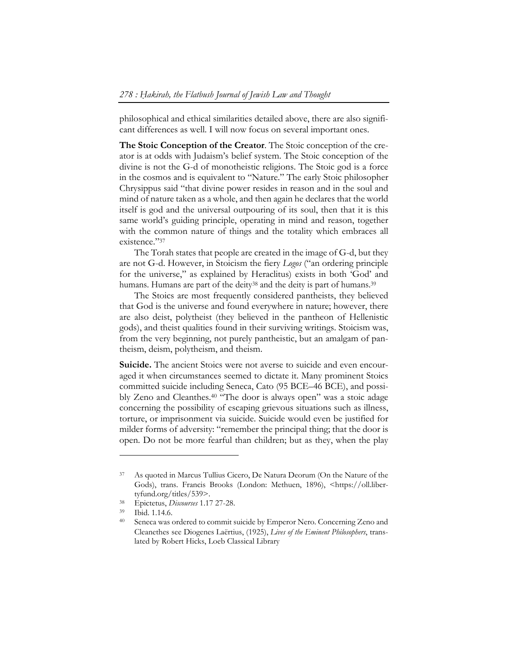philosophical and ethical similarities detailed above, there are also significant differences as well. I will now focus on several important ones.

**The Stoic Conception of the Creator**. The Stoic conception of the creator is at odds with Judaism's belief system. The Stoic conception of the divine is not the G-d of monotheistic religions. The Stoic god is a force in the cosmos and is equivalent to "Nature." The early Stoic philosopher Chrysippus said "that divine power resides in reason and in the soul and mind of nature taken as a whole, and then again he declares that the world itself is god and the universal outpouring of its soul, then that it is this same world's guiding principle, operating in mind and reason, together with the common nature of things and the totality which embraces all existence."37

The Torah states that people are created in the image of G-d, but they are not G-d. However, in Stoicism the fiery *Logos* ("an ordering principle for the universe," as explained by Heraclitus) exists in both 'God' and humans. Humans are part of the deity<sup>38</sup> and the deity is part of humans.<sup>39</sup>

The Stoics are most frequently considered pantheists, they believed that God is the universe and found everywhere in nature; however, there are also deist, polytheist (they believed in the pantheon of Hellenistic gods), and theist qualities found in their surviving writings. Stoicism was, from the very beginning, not purely pantheistic, but an amalgam of pantheism, deism, polytheism, and theism.

**Suicide.** The ancient Stoics were not averse to suicide and even encouraged it when circumstances seemed to dictate it. Many prominent Stoics committed suicide including Seneca, Cato (95 BCE–46 BCE), and possibly Zeno and Cleanthes.40 "The door is always open" was a stoic adage concerning the possibility of escaping grievous situations such as illness, torture, or imprisonment via suicide. Suicide would even be justified for milder forms of adversity: "remember the principal thing; that the door is open. Do not be more fearful than children; but as they, when the play

<sup>37</sup> As quoted in Marcus Tullius Cicero, De Natura Deorum (On the Nature of the Gods), trans. Francis Brooks (London: Methuen, 1896), <https://oll.liber-

tyfund.org/titles/539>. 38 Epictetus, *Discourses* 1.17 27-28. 39 Ibid. 1.14.6.

<sup>&</sup>lt;sup>40</sup> Seneca was ordered to commit suicide by Emperor Nero. Concerning Zeno and Cleanethes see Diogenes Laërtius, (1925), *Lives of the Eminent Philosophers*, translated by Robert Hicks, Loeb Classical Library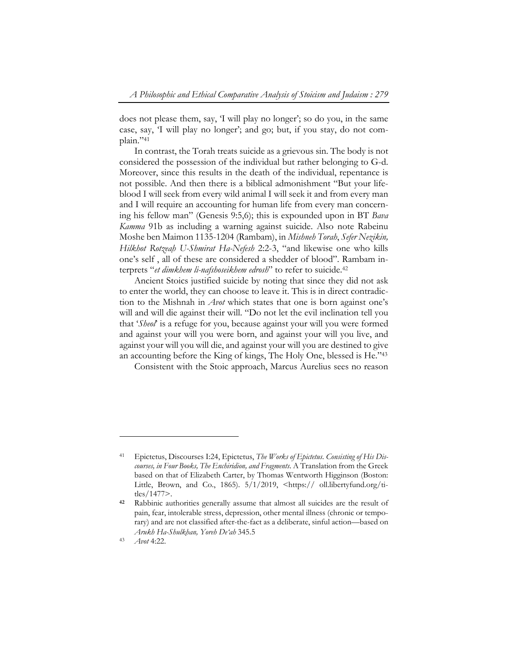does not please them, say, 'I will play no longer'; so do you, in the same case, say, 'I will play no longer'; and go; but, if you stay, do not complain."41

In contrast, the Torah treats suicide as a grievous sin. The body is not considered the possession of the individual but rather belonging to G-d. Moreover, since this results in the death of the individual, repentance is not possible. And then there is a biblical admonishment "But your lifeblood I will seek from every wild animal I will seek it and from every man and I will require an accounting for human life from every man concerning his fellow man" (Genesis 9:5,6); this is expounded upon in BT *Bava Kamma* 91b as including a warning against suicide. Also note Rabeinu Moshe ben Maimon 1135-1204 (Rambam), in *Mishneh Torah*, *Sefer Nezikin, Hilkhot Rotzeaḥ U-Shmirat Ha-Nefesh* 2:2-3, "and likewise one who kills one's self , all of these are considered a shedder of blood". Rambam interprets "*et dimkhem li-nafshoseikhem edrosh*" to refer to suicide.42

Ancient Stoics justified suicide by noting that since they did not ask to enter the world, they can choose to leave it. This is in direct contradiction to the Mishnah in *Avot* which states that one is born against one's will and will die against their will. "Do not let the evil inclination tell you that '*Sheol*' is a refuge for you, because against your will you were formed and against your will you were born, and against your will you live, and against your will you will die, and against your will you are destined to give an accounting before the King of kings, The Holy One, blessed is He."43

Consistent with the Stoic approach, Marcus Aurelius sees no reason

<sup>41</sup> Epictetus, Discourses I:24, Epictetus, *The Works of Epictetus. Consisting of His Discourses, in Four Books, The Enchiridion, and Fragments*. A Translation from the Greek based on that of Elizabeth Carter, by Thomas Wentworth Higginson (Boston: Little, Brown, and Co., 1865).  $5/1/2019$ ,  $\lt$ https:// oll.libertyfund.org/titles/1477>.

**<sup>42</sup>** Rabbinic authorities generally assume that almost all suicides are the result of pain, fear, intolerable stress, depression, other mental illness (chronic or temporary) and are not classified after-the-fact as a deliberate, sinful action—based on *Arukh Ha-Shulkḥan, Yoreh De'ah* 345.5

<sup>43</sup> *Avot* 4:22.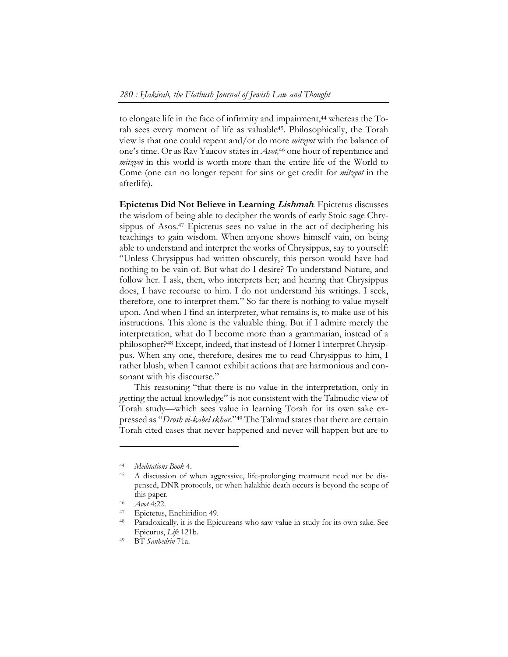to elongate life in the face of infirmity and impairment,<sup>44</sup> whereas the Torah sees every moment of life as valuable45. Philosophically, the Torah view is that one could repent and/or do more *mitzvot* with the balance of one's time. Or as Rav Yaacov states in *Avot,*46 one hour of repentance and *mitzvot* in this world is worth more than the entire life of the World to Come (one can no longer repent for sins or get credit for *mitzvot* in the afterlife).

**Epictetus Did Not Believe in Learning Lishmah***.* Epictetus discusses the wisdom of being able to decipher the words of early Stoic sage Chrysippus of Asos.<sup>47</sup> Epictetus sees no value in the act of deciphering his teachings to gain wisdom. When anyone shows himself vain, on being able to understand and interpret the works of Chrysippus, say to yourself: "Unless Chrysippus had written obscurely, this person would have had nothing to be vain of. But what do I desire? To understand Nature, and follow her. I ask, then, who interprets her; and hearing that Chrysippus does, I have recourse to him. I do not understand his writings. I seek, therefore, one to interpret them." So far there is nothing to value myself upon. And when I find an interpreter, what remains is, to make use of his instructions. This alone is the valuable thing. But if I admire merely the interpretation, what do I become more than a grammarian, instead of a philosopher?48 Except, indeed, that instead of Homer I interpret Chrysippus. When any one, therefore, desires me to read Chrysippus to him, I rather blush, when I cannot exhibit actions that are harmonious and consonant with his discourse."

This reasoning "that there is no value in the interpretation, only in getting the actual knowledge" is not consistent with the Talmudic view of Torah study—which sees value in learning Torah for its own sake expressed as "*Drosh vi-kabel skhar.*"49 The Talmud states that there are certain Torah cited cases that never happened and never will happen but are to

<sup>44</sup> *Meditations Book* 4. 45 A discussion of when aggressive, life-prolonging treatment need not be dispensed, DNR protocols, or when halakhic death occurs is beyond the scope of this paper.<br><sup>46</sup> *Avot* 4:22.<br><sup>47</sup> Epictetus, Enchiridion 49.

<sup>48</sup> Paradoxically, it is the Epicureans who saw value in study for its own sake. See Epicurus, *Life* 121b. 49 BT *Sanhedrin* 71a.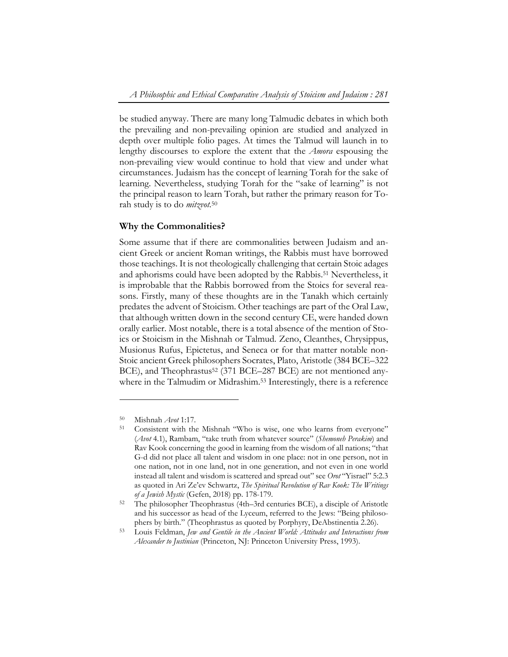be studied anyway. There are many long Talmudic debates in which both the prevailing and non-prevailing opinion are studied and analyzed in depth over multiple folio pages. At times the Talmud will launch in to lengthy discourses to explore the extent that the *Amora* espousing the non-prevailing view would continue to hold that view and under what circumstances. Judaism has the concept of learning Torah for the sake of learning. Nevertheless, studying Torah for the "sake of learning" is not the principal reason to learn Torah, but rather the primary reason for Torah study is to do *mitzvot.*50

## **Why the Commonalities?**

Some assume that if there are commonalities between Judaism and ancient Greek or ancient Roman writings, the Rabbis must have borrowed those teachings. It is not theologically challenging that certain Stoic adages and aphorisms could have been adopted by the Rabbis.51 Nevertheless, it is improbable that the Rabbis borrowed from the Stoics for several reasons. Firstly, many of these thoughts are in the Tanakh which certainly predates the advent of Stoicism. Other teachings are part of the Oral Law, that although written down in the second century CE, were handed down orally earlier. Most notable, there is a total absence of the mention of Stoics or Stoicism in the Mishnah or Talmud. Zeno, Cleanthes, Chrysippus, Musionus Rufus, Epictetus, and Seneca or for that matter notable non-Stoic ancient Greek philosophers Socrates, Plato, Aristotle (384 BCE–322 BCE), and Theophrastus<sup>52</sup> (371 BCE–287 BCE) are not mentioned anywhere in the Talmudim or Midrashim.<sup>53</sup> Interestingly, there is a reference

<sup>50</sup> Mishnah *Avot* 1:17. 51 Consistent with the Mishnah "Who is wise, one who learns from everyone" (*Avot* 4.1), Rambam, "take truth from whatever source" (*Shemoneh Perakim*) and Rav Kook concerning the good in learning from the wisdom of all nations; "that G-d did not place all talent and wisdom in one place: not in one person, not in one nation, not in one land, not in one generation, and not even in one world instead all talent and wisdom is scattered and spread out" see *Orot* "Yisrael" 5:2.3 as quoted in Ari Ze'ev Schwartz, *The Spiritual Revolution of Rav Kook: The Writings of a Jewish Mystic* (Gefen, 2018) pp. 178-179. 52 The philosopher Theophrastus (4th–3rd centuries BCE), a disciple of Aristotle

and his successor as head of the Lyceum, referred to the Jews: "Being philosophers by birth." (Theophrastus as quoted by Porphyry, DeAbstinentia 2.26). 53 Louis Feldman, *Jew and Gentile in the Ancient World: Attitudes and Interactions from* 

*Alexander to Justinian* (Princeton, NJ: Princeton University Press, 1993).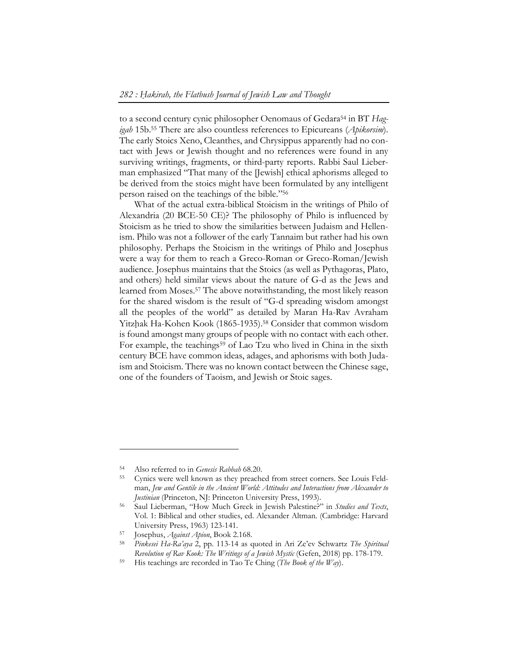to a second century cynic philosopher Oenomaus of Gedara54 in BT *Hagigah* 15b.55 There are also countless references to Epicureans (*Apikorsim*). The early Stoics Xeno, Cleanthes, and Chrysippus apparently had no contact with Jews or Jewish thought and no references were found in any surviving writings, fragments, or third-party reports. Rabbi Saul Lieberman emphasized "That many of the [Jewish] ethical aphorisms alleged to be derived from the stoics might have been formulated by any intelligent person raised on the teachings of the bible."56

What of the actual extra-biblical Stoicism in the writings of Philo of Alexandria (20 BCE-50 CE)? The philosophy of Philo is influenced by Stoicism as he tried to show the similarities between Judaism and Hellenism. Philo was not a follower of the early Tannaim but rather had his own philosophy. Perhaps the Stoicism in the writings of Philo and Josephus were a way for them to reach a Greco-Roman or Greco-Roman/Jewish audience. Josephus maintains that the Stoics (as well as Pythagoras, Plato, and others) held similar views about the nature of G-d as the Jews and learned from Moses.57 The above notwithstanding, the most likely reason for the shared wisdom is the result of "G-d spreading wisdom amongst all the peoples of the world" as detailed by Maran Ha-Rav Avraham Yitzhak Ha-Kohen Kook (1865-1935).<sup>58</sup> Consider that common wisdom is found amongst many groups of people with no contact with each other. For example, the teachings<sup>59</sup> of Lao Tzu who lived in China in the sixth century BCE have common ideas, adages, and aphorisms with both Judaism and Stoicism. There was no known contact between the Chinese sage, one of the founders of Taoism, and Jewish or Stoic sages.

<sup>54</sup> Also referred to in *Genesis Rabbah* 68.20. 55 Cynics were well known as they preached from street corners. See Louis Feldman, *Jew and Gentile in the Ancient World: Attitudes and Interactions from Alexander to* 

*Justinian* (Princeton, NJ: Princeton University Press, 1993).<br><sup>56</sup> Saul Lieberman, "How Much Greek in Jewish Palestine?" in *Studies and Texts*, Vol. 1: Biblical and other studies, ed. Alexander Altman. (Cambridge: Harvard University Press, 1963) 123-141. 57 Josephus, *Against Apion*, Book 2.168. 58 *Pinkesei Ha-Ra'aya* 2, pp. 113-14 as quoted in Ari Ze'ev Schwartz *The Spiritual* 

*Revolution of Rav Kook: The Writings of a Jewish Mystic* (Gefen, 2018) pp. 178-179. 59 His teachings are recorded in Tao Te Ching (*The Book of the Way*).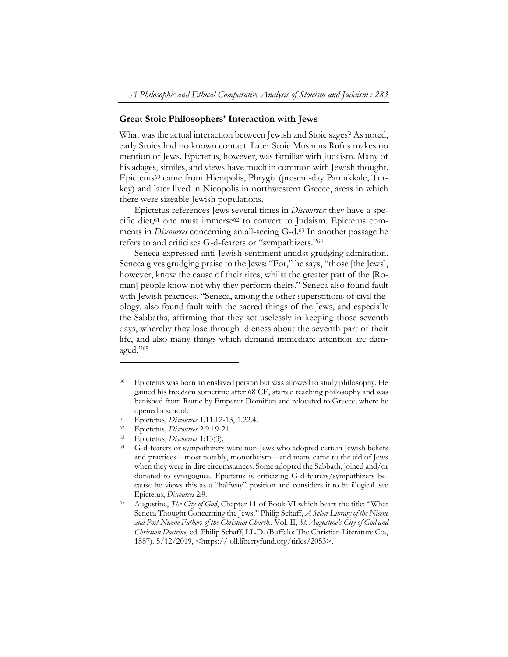#### **Great Stoic Philosophers' Interaction with Jews**

What was the actual interaction between Jewish and Stoic sages? As noted, early Stoics had no known contact. Later Stoic Musinius Rufus makes no mention of Jews. Epictetus, however, was familiar with Judaism. Many of his adages, similes, and views have much in common with Jewish thought. Epictetus60 came from Hierapolis, Phrygia (present-day Pamukkale, Turkey) and later lived in Nicopolis in northwestern Greece, areas in which there were sizeable Jewish populations.

Epictetus references Jews several times in *Discourses:* they have a specific diet,<sup>61</sup> one must immerse<sup>62</sup> to convert to Judaism. Epictetus comments in *Discourses* concerning an all-seeing G-d.63 In another passage he refers to and criticizes G-d-fearers or "sympathizers."64

Seneca expressed anti-Jewish sentiment amidst grudging admiration. Seneca gives grudging praise to the Jews: "For," he says, "those [the Jews], however, know the cause of their rites, whilst the greater part of the [Roman] people know not why they perform theirs." Seneca also found fault with Jewish practices. "Seneca, among the other superstitions of civil theology, also found fault with the sacred things of the Jews, and especially the Sabbaths, affirming that they act uselessly in keeping those seventh days, whereby they lose through idleness about the seventh part of their life, and also many things which demand immediate attention are damaged."65

<sup>60</sup> Epictetus was born an enslaved person but was allowed to study philosophy. He gained his freedom sometime after 68 CE, started teaching philosophy and was banished from Rome by Emperor Domitian and relocated to Greece, where he %<br>
opened a school.<br>
Epictetus, *Discourses* 1.11.12-13, 1.22.4.<br>
<sup>62</sup> Epictetus, *Discourses* 2.9.19-21.<br>
<sup>63</sup> Epictetus, *Discourses* 1:13(3).<br>
<sup>64</sup> G-d-fearers or sympathizers were non-Jews who adopted certain Jewish be

and practices—most notably, monotheism—and many came to the aid of Jews when they were in dire circumstances. Some adopted the Sabbath, joined and/or donated to synagogues. Epictetus is criticizing G-d-fearers/sympathizers because he views this as a "halfway" position and considers it to be illogical. see Epictetus, *Discourses* 2:9.

<sup>65</sup> Augustine, *The City of God*, Chapter 11 of Book VI which bears the title: "What Seneca Thought Concerning the Jews." Philip Schaff, *A Select Library of the Nicene and Post-Nicene Fathers of the Christian Church*., Vol. II, *St. Augustine's City of God and Christian Doctrine,* ed. Philip Schaff, LL.D. (Buffalo: The Christian Literature Co., 1887). 5/12/2019, <https:// oll.libertyfund.org/titles/2053>.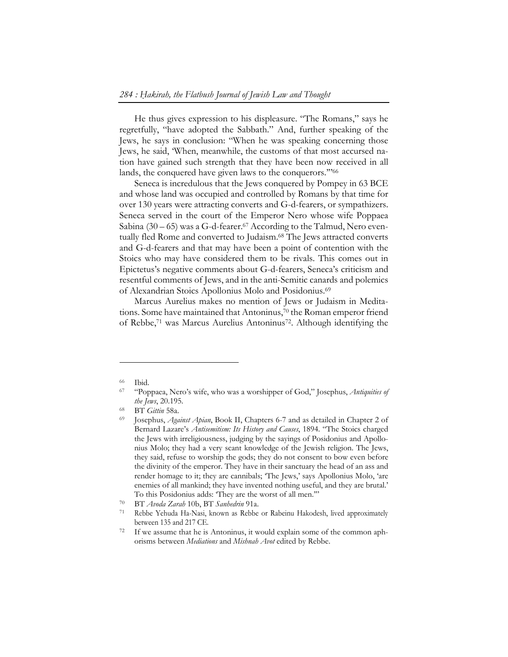He thus gives expression to his displeasure. "The Romans," says he regretfully, "have adopted the Sabbath." And, further speaking of the Jews, he says in conclusion: "When he was speaking concerning those Jews, he said, 'When, meanwhile, the customs of that most accursed nation have gained such strength that they have been now received in all lands, the conquered have given laws to the conquerors.'"66

Seneca is incredulous that the Jews conquered by Pompey in 63 BCE and whose land was occupied and controlled by Romans by that time for over 130 years were attracting converts and G-d-fearers, or sympathizers. Seneca served in the court of the Emperor Nero whose wife Poppaea Sabina  $(30 - 65)$  was a G-d-fearer.<sup>67</sup> According to the Talmud, Nero eventually fled Rome and converted to Judaism.<sup>68</sup> The Jews attracted converts and G-d-fearers and that may have been a point of contention with the Stoics who may have considered them to be rivals. This comes out in Epictetus's negative comments about G-d-fearers, Seneca's criticism and resentful comments of Jews, and in the anti-Semitic canards and polemics of Alexandrian Stoics Apollonius Molo and Posidonius.69

Marcus Aurelius makes no mention of Jews or Judaism in Meditations. Some have maintained that Antoninus,<sup>70</sup> the Roman emperor friend of Rebbe,71 was Marcus Aurelius Antoninus72. Although identifying the

<sup>66</sup> Ibid. 67 "Poppaea, Nero's wife, who was a worshipper of God," Josephus, *Antiquities of the Jews*, 20.195.<br>
<sup>68</sup> BT *Gittin* 58a.<br>
<sup>69</sup> Josephus, *Against Apian*, Book II, Chapters 6-7 and as detailed in Chapter 2 of

Bernard Lazare's *Antisemitism: Its History and Causes*, 1894. "The Stoics charged the Jews with irreligiousness, judging by the sayings of Posidonius and Apollonius Molo; they had a very scant knowledge of the Jewish religion. The Jews, they said, refuse to worship the gods; they do not consent to bow even before the divinity of the emperor. They have in their sanctuary the head of an ass and render homage to it; they are cannibals; 'The Jews,' says Apollonius Molo, 'are enemies of all mankind; they have invented nothing useful, and they are brutal.' To this Posidonius adds: 'They are the worst of all men.'" 70 BT *Avoda Zarah* 10b, BT *Sanhedrin* 91a.

<sup>71</sup> Rebbe Yehuda Ha-Nasi, known as Rebbe or Rabeinu Hakodesh, lived approximately

between 135 and 217 CE.<br><sup>72</sup> If we assume that he is Antoninus, it would explain some of the common aphorisms between *Mediations* and *Mishnah Avot* edited by Rebbe.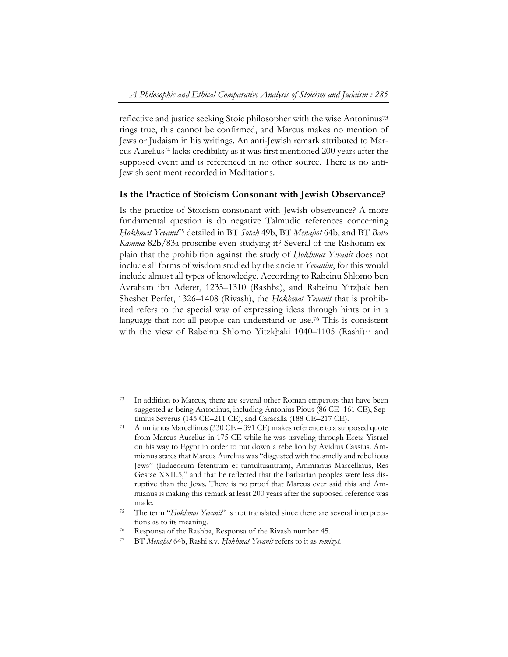reflective and justice seeking Stoic philosopher with the wise Antoninus73 rings true, this cannot be confirmed, and Marcus makes no mention of Jews or Judaism in his writings. An anti-Jewish remark attributed to Marcus Aurelius74 lacks credibility as it was first mentioned 200 years after the supposed event and is referenced in no other source. There is no anti-Jewish sentiment recorded in Meditations.

#### **Is the Practice of Stoicism Consonant with Jewish Observance?**

Is the practice of Stoicism consonant with Jewish observance? A more fundamental question is do negative Talmudic references concerning *Ḥokhmat Yevanit*75 detailed in BT *Sotah* 49b, BT *Menaḥot* 64b, and BT *Bava Kamma* 82b/83a proscribe even studying it? Several of the Rishonim explain that the prohibition against the study of *Ḥokhmat Yevanit* does not include all forms of wisdom studied by the ancient *Yevanim*, for this would include almost all types of knowledge. According to Rabeinu Shlomo ben Avraham ibn Aderet, 1235–1310 (Rashba), and Rabeinu Yitzhak ben Sheshet Perfet, 1326–1408 (Rivash), the *Ḥokhmat Yevanit* that is prohibited refers to the special way of expressing ideas through hints or in a language that not all people can understand or use.<sup>76</sup> This is consistent with the view of Rabeinu Shlomo Yitzkhaki 1040–1105 (Rashi)<sup>77</sup> and

<sup>73</sup> In addition to Marcus, there are several other Roman emperors that have been suggested as being Antoninus, including Antonius Pious (86 CE–161 CE), Sep-

timius Severus (145 CE–211 CE), and Caracalla (188 CE–217 CE).<br>Ammianus Marcellinus (330 CE – 391 CE) makes reference to a supposed quote from Marcus Aurelius in 175 CE while he was traveling through Eretz Yisrael on his way to Egypt in order to put down a rebellion by Avidius Cassius. Ammianus states that Marcus Aurelius was "disgusted with the smelly and rebellious Jews" (Iudaeorum fetentium et tumultuantium), Ammianus Marcellinus, Res Gestae XXII.5," and that he reflected that the barbarian peoples were less disruptive than the Jews. There is no proof that Marcus ever said this and Ammianus is making this remark at least 200 years after the supposed reference was made.<br><sup>75</sup> The term "*Hokhmat Yevanit*" is not translated since there are several interpreta-

tions as to its meaning.

<sup>76</sup> Responsa of the Rashba, Responsa of the Rivash number 45.

<sup>77</sup> BT *Menaḥot* 64b, Rashi s.v. *Ḥokhmat Yevanit* refers to it as *remizot.*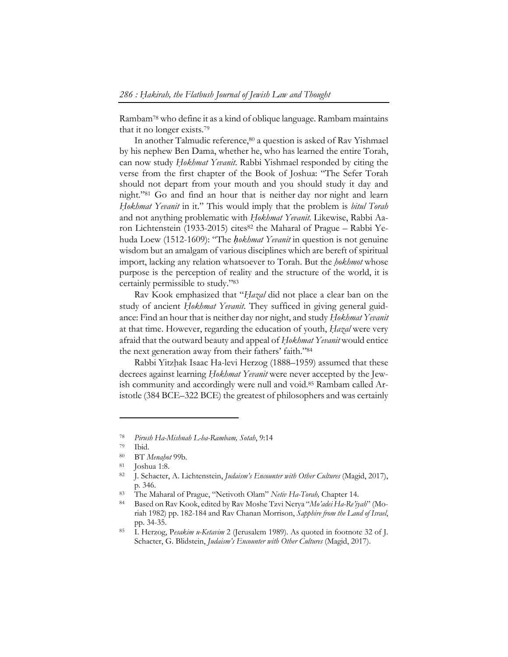Rambam78 who define it as a kind of oblique language. Rambam maintains that it no longer exists.79

In another Talmudic reference,<sup>80</sup> a question is asked of Rav Yishmael by his nephew Ben Dama, whether he, who has learned the entire Torah, can now study *Ḥokhmat Yevanit*. Rabbi Yishmael responded by citing the verse from the first chapter of the Book of Joshua: "The Sefer Torah should not depart from your mouth and you should study it day and night."81 Go and find an hour that is neither day nor night and learn *Ḥokhmat Yevanit* in it." This would imply that the problem is *bitul Torah* and not anything problematic with *Ḥokhmat Yevanit.* Likewise, Rabbi Aaron Lichtenstein (1933-2015) cites<sup>82</sup> the Maharal of Prague – Rabbi Yehuda Loew (1512-1609): "The *ḥokhmat Yevanit* in question is not genuine wisdom but an amalgam of various disciplines which are bereft of spiritual import, lacking any relation whatsoever to Torah. But the *ḥokhmot* whose purpose is the perception of reality and the structure of the world, it is certainly permissible to study."83

Rav Kook emphasized that "*Ḥazal* did not place a clear ban on the study of ancient *Ḥokhmat Yevanit*. They sufficed in giving general guidance: Find an hour that is neither day nor night, and study *Ḥokhmat Yevanit* at that time. However, regarding the education of youth, *Ḥazal* were very afraid that the outward beauty and appeal of *Ḥokhmat Yevanit* would entice the next generation away from their fathers' faith."84

Rabbi Yitzhak Isaac Ha-levi Herzog (1888–1959) assumed that these decrees against learning *Ḥokhmat Yevanit* were never accepted by the Jewish community and accordingly were null and void.85 Rambam called Aristotle (384 BCE–322 BCE) the greatest of philosophers and was certainly

<sup>78</sup>*Pirush Ha-Mishnah L-ha-Rambam, Sotah*, 9:14 79 Ibid.

<sup>80</sup> BT *Menaḥot* 99b. 81 Joshua 1:8.

<sup>82</sup> J. Schacter, A. Lichtenstein, *Judaism's Encounter with Other Cultures* (Magid, 2017), p. 346. 83 The Maharal of Prague, "Netivoth Olam" *Netiv Ha-Torah,* Chapter 14. 84 Based on Rav Kook, edited by Rav Moshe Tzvi Nerya "*Mo'adei Ha-Re'iyah*" (Mo-

riah 1982) pp. 182-184 and Rav Chanan Morrison, *Sapphire from the Land of Israel*, pp. 34-35. 85 I. Herzog, P*esakim u-Ketavim* 2 (Jerusalem 1989). As quoted in footnote 32 of J.

Schacter, G. Blidstein, *Judaism's Encounter with Other Cultures* (Magid, 2017).